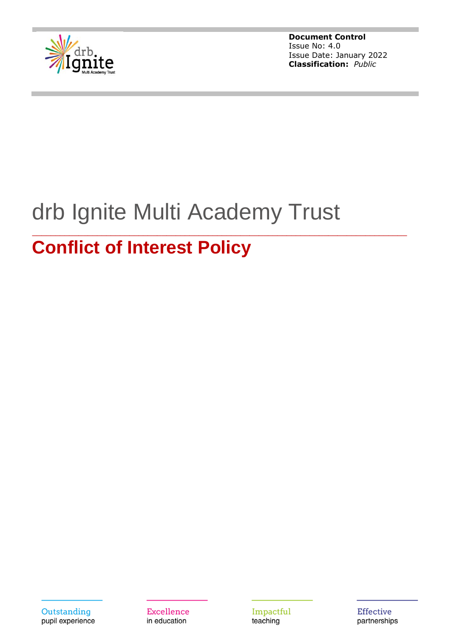

# drb Ignite Multi Academy Trust

\_\_\_\_\_\_\_\_\_\_\_\_\_\_\_\_\_\_\_\_\_\_\_\_\_\_\_\_\_\_\_\_\_\_\_\_\_\_\_\_\_\_\_\_\_\_\_\_\_\_\_\_\_\_\_\_\_\_\_\_\_\_\_\_\_\_\_\_\_\_\_\_\_\_\_\_\_\_\_\_\_

# **Conflict of Interest Policy**

Outstanding pupil experience Excellence in education

Impactful teaching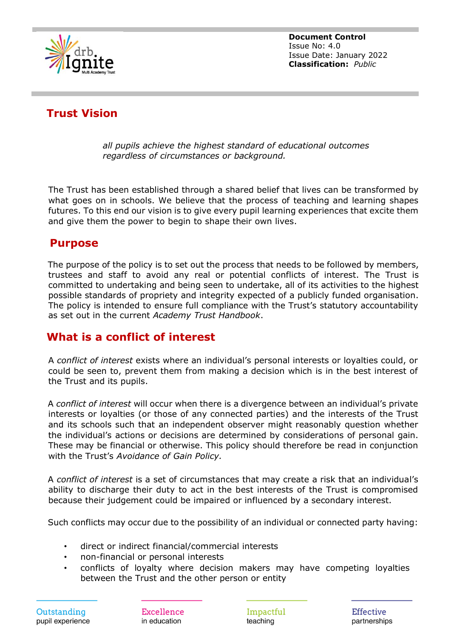

# **Trust Vision**

*all pupils achieve the highest standard of educational outcomes regardless of circumstances or background.*

The Trust has been established through a shared belief that lives can be transformed by what goes on in schools. We believe that the process of teaching and learning shapes futures. To this end our vision is to give every pupil learning experiences that excite them and give them the power to begin to shape their own lives.

#### **Purpose**

The purpose of the policy is to set out the process that needs to be followed by members, trustees and staff to avoid any real or potential conflicts of interest. The Trust is committed to undertaking and being seen to undertake, all of its activities to the highest possible standards of propriety and integrity expected of a publicly funded organisation. The policy is intended to ensure full compliance with the Trust's statutory accountability as set out in the current *Academy Trust Handbook*.

#### **What is a conflict of interest**

A *conflict of interest* exists where an individual's personal interests or loyalties could, or could be seen to, prevent them from making a decision which is in the best interest of the Trust and its pupils.

A *conflict of interest* will occur when there is a divergence between an individual's private interests or loyalties (or those of any connected parties) and the interests of the Trust and its schools such that an independent observer might reasonably question whether the individual's actions or decisions are determined by considerations of personal gain. These may be financial or otherwise. This policy should therefore be read in conjunction with the Trust's *Avoidance of Gain Policy.*

A *conflict of interest* is a set of circumstances that may create a risk that an individual's ability to discharge their duty to act in the best interests of the Trust is compromised because their judgement could be impaired or influenced by a secondary interest.

Such conflicts may occur due to the possibility of an individual or connected party having:

- direct or indirect financial/commercial interests
- non-financial or personal interests
- conflicts of loyalty where decision makers may have competing loyalties between the Trust and the other person or entity

Excellence in education

Impactful teaching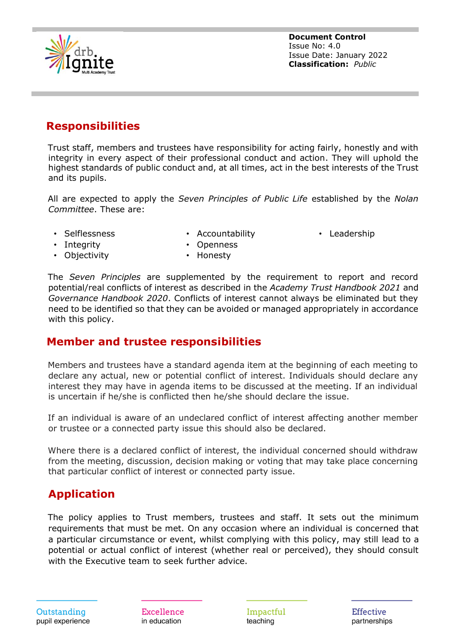

### **Responsibilities**

Trust staff, members and trustees have responsibility for acting fairly, honestly and with integrity in every aspect of their professional conduct and action. They will uphold the highest standards of public conduct and, at all times, act in the best interests of the Trust and its pupils.

All are expected to apply the *Seven Principles of Public Life* established by the *Nolan Committee*. These are:

• Selflessness

- Accountability
- Leadership

• Integrity

- Openness • Honesty
- Objectivity

The *Seven Principles* are supplemented by the requirement to report and record potential/real conflicts of interest as described in the *Academy Trust Handbook 2021* and *Governance Handbook 2020*. Conflicts of interest cannot always be eliminated but they need to be identified so that they can be avoided or managed appropriately in accordance with this policy.

#### **Member and trustee responsibilities**

Members and trustees have a standard agenda item at the beginning of each meeting to declare any actual, new or potential conflict of interest. Individuals should declare any interest they may have in agenda items to be discussed at the meeting. If an individual is uncertain if he/she is conflicted then he/she should declare the issue.

If an individual is aware of an undeclared conflict of interest affecting another member or trustee or a connected party issue this should also be declared.

Where there is a declared conflict of interest, the individual concerned should withdraw from the meeting, discussion, decision making or voting that may take place concerning that particular conflict of interest or connected party issue.

## **Application**

The policy applies to Trust members, trustees and staff. It sets out the minimum requirements that must be met. On any occasion where an individual is concerned that a particular circumstance or event, whilst complying with this policy, may still lead to a potential or actual conflict of interest (whether real or perceived), they should consult with the Executive team to seek further advice.

Excellence in education

Impactful teaching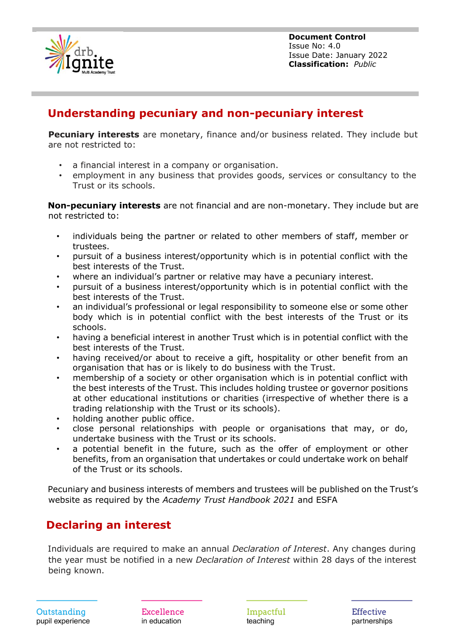

#### **Understanding pecuniary and non-pecuniary interest**

**Pecuniary interests** are monetary, finance and/or business related. They include but are not restricted to:

- a financial interest in a company or organisation.
- employment in any business that provides goods, services or consultancy to the Trust or its schools.

**Non-pecuniary interests** are not financial and are non-monetary. They include but are not restricted to:

- individuals being the partner or related to other members of staff, member or trustees.
- pursuit of a business interest/opportunity which is in potential conflict with the best interests of the Trust.
- where an individual's partner or relative may have a pecuniary interest.
- pursuit of a business interest/opportunity which is in potential conflict with the best interests of the Trust.
- an individual's professional or legal responsibility to someone else or some other body which is in potential conflict with the best interests of the Trust or its schools.
- having a beneficial interest in another Trust which is in potential conflict with the best interests of the Trust.
- having received/or about to receive a gift, hospitality or other benefit from an organisation that has or is likely to do business with the Trust.
- membership of a society or other organisation which is in potential conflict with the best interests of the Trust. This includes holding trustee or governor positions at other educational institutions or charities (irrespective of whether there is a trading relationship with the Trust or its schools).
- holding another public office.
- close personal relationships with people or organisations that may, or do, undertake business with the Trust or its schools.
- a potential benefit in the future, such as the offer of employment or other benefits, from an organisation that undertakes or could undertake work on behalf of the Trust or its schools.

Pecuniary and business interests of members and trustees will be published on the Trust's website as required by the *Academy Trust Handbook 2021* and ESFA

#### **Declaring an interest**

Individuals are required to make an annual *Declaration of Interest*. Any changes during the year must be notified in a new *Declaration of Interest* within 28 days of the interest being known.

Excellence in education

Impactful teaching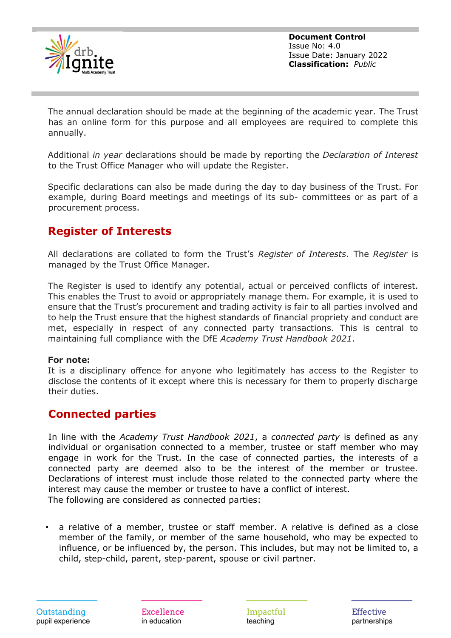

The annual declaration should be made at the beginning of the academic year. The Trust has an online form for this purpose and all employees are required to complete this annually.

Additional *in year* declarations should be made by reporting the *Declaration of Interest* to the Trust Office Manager who will update the Register.

Specific declarations can also be made during the day to day business of the Trust. For example, during Board meetings and meetings of its sub- committees or as part of a procurement process.

#### **Register of Interests**

All declarations are collated to form the Trust's *Register of Interests*. The *Register* is managed by the Trust Office Manager.

The Register is used to identify any potential, actual or perceived conflicts of interest. This enables the Trust to avoid or appropriately manage them. For example, it is used to ensure that the Trust's procurement and trading activity is fair to all parties involved and to help the Trust ensure that the highest standards of financial propriety and conduct are met, especially in respect of any connected party transactions. This is central to maintaining full compliance with the DfE *Academy Trust Handbook 2021*.

#### **For note:**

It is a disciplinary offence for anyone who legitimately has access to the Register to disclose the contents of it except where this is necessary for them to properly discharge their duties.

#### **Connected parties**

In line with the *Academy Trust Handbook 2021*, a *connected party* is defined as any individual or organisation connected to a member, trustee or staff member who may engage in work for the Trust. In the case of connected parties, the interests of a connected party are deemed also to be the interest of the member or trustee. Declarations of interest must include those related to the connected party where the interest may cause the member or trustee to have a conflict of interest. The following are considered as connected parties:

• a relative of a member, trustee or staff member. A relative is defined as a close member of the family, or member of the same household, who may be expected to influence, or be influenced by, the person. This includes, but may not be limited to, a child, step-child, parent, step-parent, spouse or civil partner.

**Excellence** in education

Impactful teaching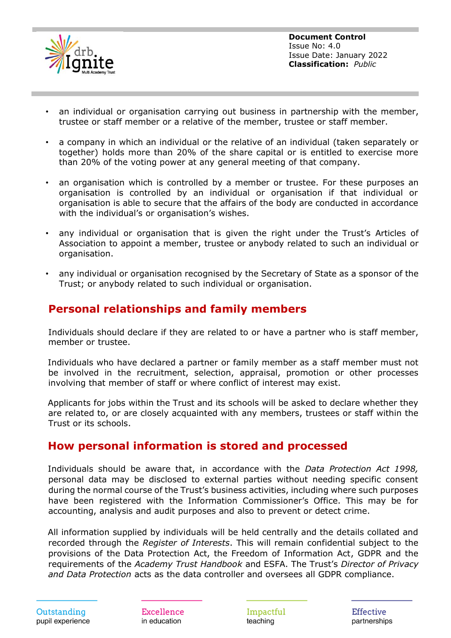

- an individual or organisation carrying out business in partnership with the member, trustee or staff member or a relative of the member, trustee or staff member.
- a company in which an individual or the relative of an individual (taken separately or together) holds more than 20% of the share capital or is entitled to exercise more than 20% of the voting power at any general meeting of that company.
- an organisation which is controlled by a member or trustee. For these purposes an organisation is controlled by an individual or organisation if that individual or organisation is able to secure that the affairs of the body are conducted in accordance with the individual's or organisation's wishes.
- any individual or organisation that is given the right under the Trust's Articles of Association to appoint a member, trustee or anybody related to such an individual or organisation.
- any individual or organisation recognised by the Secretary of State as a sponsor of the Trust; or anybody related to such individual or organisation.

#### **Personal relationships and family members**

Individuals should declare if they are related to or have a partner who is staff member, member or trustee.

Individuals who have declared a partner or family member as a staff member must not be involved in the recruitment, selection, appraisal, promotion or other processes involving that member of staff or where conflict of interest may exist.

Applicants for jobs within the Trust and its schools will be asked to declare whether they are related to, or are closely acquainted with any members, trustees or staff within the Trust or its schools.

#### **How personal information is stored and processed**

Individuals should be aware that, in accordance with the *Data Protection Act 1998,* personal data may be disclosed to external parties without needing specific consent during the normal course of the Trust's business activities, including where such purposes have been registered with the Information Commissioner's Office. This may be for accounting, analysis and audit purposes and also to prevent or detect crime.

All information supplied by individuals will be held centrally and the details collated and recorded through the *Register of Interests*. This will remain confidential subject to the provisions of the Data Protection Act, the Freedom of Information Act, GDPR and the requirements of the *Academy Trust Handbook* and ESFA. The Trust's *Director of Privacy and Data Protection* acts as the data controller and oversees all GDPR compliance.

Excellence in education

Impactful teaching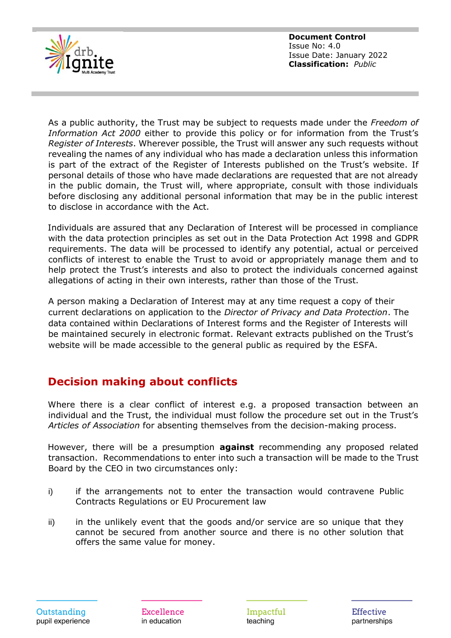

As a public authority, the Trust may be subject to requests made under the *Freedom of Information Act 2000* either to provide this policy or for information from the Trust's *Register of Interests*. Wherever possible, the Trust will answer any such requests without revealing the names of any individual who has made a declaration unless this information is part of the extract of the Register of Interests published on the Trust's website. If personal details of those who have made declarations are requested that are not already in the public domain, the Trust will, where appropriate, consult with those individuals before disclosing any additional personal information that may be in the public interest to disclose in accordance with the Act.

Individuals are assured that any Declaration of Interest will be processed in compliance with the data protection principles as set out in the Data Protection Act 1998 and GDPR requirements. The data will be processed to identify any potential, actual or perceived conflicts of interest to enable the Trust to avoid or appropriately manage them and to help protect the Trust's interests and also to protect the individuals concerned against allegations of acting in their own interests, rather than those of the Trust.

A person making a Declaration of Interest may at any time request a copy of their current declarations on application to the *Director of Privacy and Data Protection*. The data contained within Declarations of Interest forms and the Register of Interests will be maintained securely in electronic format. Relevant extracts published on the Trust's website will be made accessible to the general public as required by the ESFA.

#### **Decision making about conflicts**

Where there is a clear conflict of interest e.g. a proposed transaction between an individual and the Trust, the individual must follow the procedure set out in the Trust's *Articles of Association* for absenting themselves from the decision-making process.

However, there will be a presumption **against** recommending any proposed related transaction. Recommendations to enter into such a transaction will be made to the Trust Board by the CEO in two circumstances only:

- i) if the arrangements not to enter the transaction would contravene Public Contracts Regulations or EU Procurement law
- ii) in the unlikely event that the goods and/or service are so unique that they cannot be secured from another source and there is no other solution that offers the same value for money.

Impactful teaching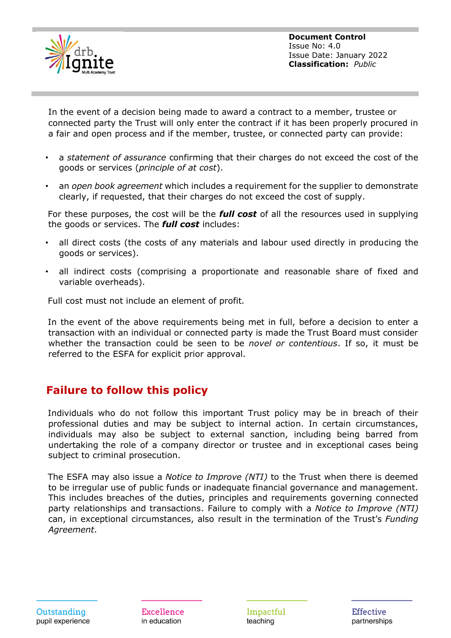

In the event of a decision being made to award a contract to a member, trustee or connected party the Trust will only enter the contract if it has been properly procured in a fair and open process and if the member, trustee, or connected party can provide:

- a *statement of assurance* confirming that their charges do not exceed the cost of the goods or services (*principle of at cost*).
- an *open book agreement* which includes a requirement for the supplier to demonstrate clearly, if requested, that their charges do not exceed the cost of supply.

For these purposes, the cost will be the *full cost* of all the resources used in supplying the goods or services. The *full cost* includes:

- all direct costs (the costs of any materials and labour used directly in producing the goods or services).
- all indirect costs (comprising a proportionate and reasonable share of fixed and variable overheads).

Full cost must not include an element of profit.

In the event of the above requirements being met in full, before a decision to enter a transaction with an individual or connected party is made the Trust Board must consider whether the transaction could be seen to be *novel or contentious*. If so, it must be referred to the ESFA for explicit prior approval.

#### **Failure to follow this policy**

Individuals who do not follow this important Trust policy may be in breach of their professional duties and may be subject to internal action. In certain circumstances, individuals may also be subject to external sanction, including being barred from undertaking the role of a company director or trustee and in exceptional cases being subject to criminal prosecution.

The ESFA may also issue a *Notice to Improve (NTI)* to the Trust when there is deemed to be irregular use of public funds or inadequate financial governance and management. This includes breaches of the duties, principles and requirements governing connected party relationships and transactions. Failure to comply with a *Notice to Improve (NTI)* can, in exceptional circumstances, also result in the termination of the Trust's *Funding Agreement*.

Excellence in education

Impactful teaching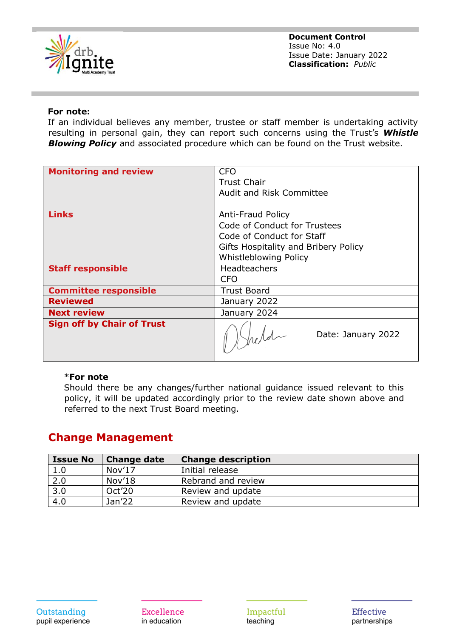

#### **For note:**

If an individual believes any member, trustee or staff member is undertaking activity resulting in personal gain, they can report such concerns using the Trust's *Whistle*  **Blowing Policy** and associated procedure which can be found on the Trust website.

| <b>Monitoring and review</b>      | <b>CFO</b>                           |
|-----------------------------------|--------------------------------------|
|                                   | <b>Trust Chair</b>                   |
|                                   | <b>Audit and Risk Committee</b>      |
|                                   |                                      |
| <b>Links</b>                      | <b>Anti-Fraud Policy</b>             |
|                                   | Code of Conduct for Trustees         |
|                                   | Code of Conduct for Staff            |
|                                   | Gifts Hospitality and Bribery Policy |
|                                   | Whistleblowing Policy                |
| <b>Staff responsible</b>          | <b>Headteachers</b>                  |
|                                   | <b>CFO</b>                           |
| <b>Committee responsible</b>      | <b>Trust Board</b>                   |
| <b>Reviewed</b>                   | January 2022                         |
| <b>Next review</b>                | January 2024                         |
| <b>Sign off by Chair of Trust</b> | Date: January 2022                   |

#### \***For note**

Should there be any changes/further national guidance issued relevant to this policy, it will be updated accordingly prior to the review date shown above and referred to the next Trust Board meeting.

#### **Change Management**

| <b>Issue No</b> | <b>Change date</b> | <b>Change description</b> |
|-----------------|--------------------|---------------------------|
| 1.0             | Nov17              | Initial release           |
| 2.0             | Nov'18             | Rebrand and review        |
| 3.0             | Oct'20             | Review and update         |
| 4.0             | Jan <sub>22</sub>  | Review and update         |

**Excellence** in education

Impactful teaching